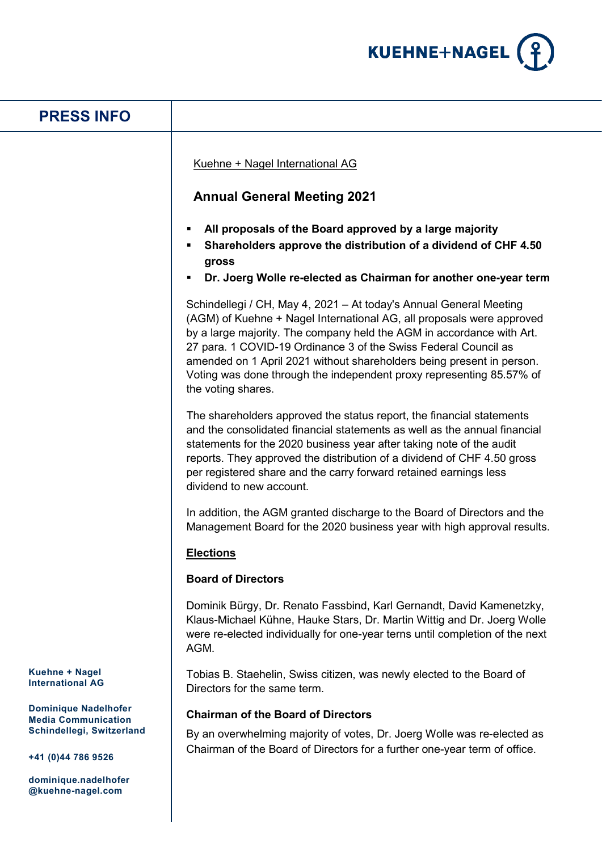

# **Kuehne + Nagel International AG Dominique Nadelhofer Media Communication Schindellegi, Switzerland +41 (0)44 786 9526 dominique.nadelhofer @kuehne-nagel.com PRESS INFO** Kuehne + Nagel International AG **Annual General Meeting 2021 All proposals of the Board approved by a large majority Shareholders approve the distribution of a dividend of CHF 4.50 gross Dr. Joerg Wolle re-elected as Chairman for another one-year term** Schindellegi / CH, May 4, 2021 – At today's Annual General Meeting (AGM) of Kuehne + Nagel International AG, all proposals were approved by a large majority. The company held the AGM in accordance with Art. 27 para. 1 COVID-19 Ordinance 3 of the Swiss Federal Council as amended on 1 April 2021 without shareholders being present in person. Voting was done through the independent proxy representing 85.57% of the voting shares. The shareholders approved the status report, the financial statements and the consolidated financial statements as well as the annual financial statements for the 2020 business year after taking note of the audit reports. They approved the distribution of a dividend of CHF 4.50 gross per registered share and the carry forward retained earnings less dividend to new account. In addition, the AGM granted discharge to the Board of Directors and the Management Board for the 2020 business year with high approval results. **Elections Board of Directors** Dominik Bürgy, Dr. Renato Fassbind, Karl Gernandt, David Kamenetzky, Klaus-Michael Kühne, Hauke Stars, Dr. Martin Wittig and Dr. Joerg Wolle were re-elected individually for one-year terns until completion of the next AGM. Tobias B. Staehelin, Swiss citizen, was newly elected to the Board of Directors for the same term. **Chairman of the Board of Directors** By an overwhelming majority of votes, Dr. Joerg Wolle was re-elected as Chairman of the Board of Directors for a further one-year term of office.